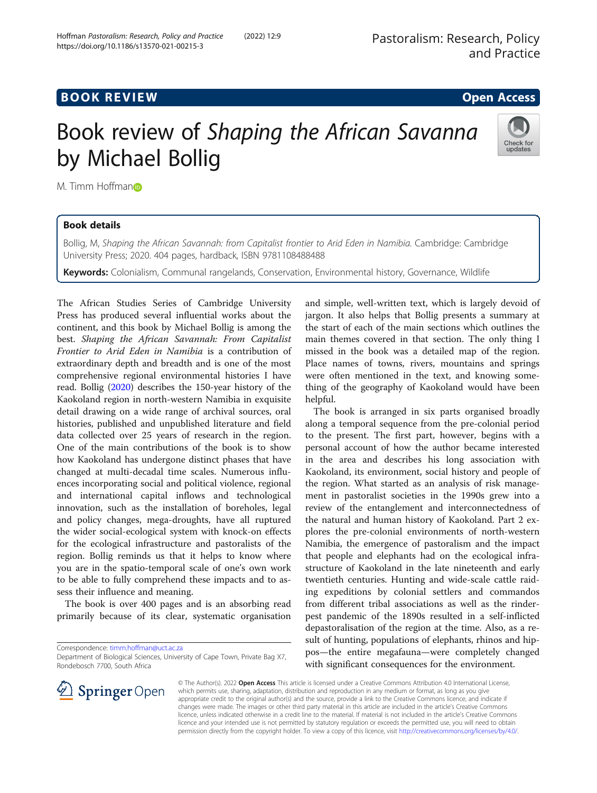# **BOOK REVIEW ACCESS BOOK REVIEW**

# Book review of Shaping the African Savanna by Michael Bollig



M. Timm Hoffman<sup>o</sup>

# Book details

Bollig, M, Shaping the African Savannah: from Capitalist frontier to Arid Eden in Namibia. Cambridge: Cambridge University Press; 2020. 404 pages, hardback, ISBN 9781108488488

Keywords: Colonialism, Communal rangelands, Conservation, Environmental history, Governance, Wildlife

The African Studies Series of Cambridge University Press has produced several influential works about the continent, and this book by Michael Bollig is among the best. Shaping the African Savannah: From Capitalist Frontier to Arid Eden in Namibia is a contribution of extraordinary depth and breadth and is one of the most comprehensive regional environmental histories I have read. Bollig ([2020](#page-2-0)) describes the 150-year history of the Kaokoland region in north-western Namibia in exquisite detail drawing on a wide range of archival sources, oral histories, published and unpublished literature and field data collected over 25 years of research in the region. One of the main contributions of the book is to show how Kaokoland has undergone distinct phases that have changed at multi-decadal time scales. Numerous influences incorporating social and political violence, regional and international capital inflows and technological innovation, such as the installation of boreholes, legal and policy changes, mega-droughts, have all ruptured the wider social-ecological system with knock-on effects for the ecological infrastructure and pastoralists of the region. Bollig reminds us that it helps to know where you are in the spatio-temporal scale of one's own work to be able to fully comprehend these impacts and to assess their influence and meaning.

The book is over 400 pages and is an absorbing read primarily because of its clear, systematic organisation

Correspondence: [timm.hoffman@uct.ac.za](mailto:timm.hoffman@uct.ac.za)

and simple, well-written text, which is largely devoid of jargon. It also helps that Bollig presents a summary at the start of each of the main sections which outlines the main themes covered in that section. The only thing I missed in the book was a detailed map of the region. Place names of towns, rivers, mountains and springs were often mentioned in the text, and knowing something of the geography of Kaokoland would have been helpful.

The book is arranged in six parts organised broadly along a temporal sequence from the pre-colonial period to the present. The first part, however, begins with a personal account of how the author became interested in the area and describes his long association with Kaokoland, its environment, social history and people of the region. What started as an analysis of risk management in pastoralist societies in the 1990s grew into a review of the entanglement and interconnectedness of the natural and human history of Kaokoland. Part 2 explores the pre-colonial environments of north-western Namibia, the emergence of pastoralism and the impact that people and elephants had on the ecological infrastructure of Kaokoland in the late nineteenth and early twentieth centuries. Hunting and wide-scale cattle raiding expeditions by colonial settlers and commandos from different tribal associations as well as the rinderpest pandemic of the 1890s resulted in a self-inflicted depastoralisation of the region at the time. Also, as a result of hunting, populations of elephants, rhinos and hippos—the entire megafauna—were completely changed with significant consequences for the environment.



© The Author(s). 2022 Open Access This article is licensed under a Creative Commons Attribution 4.0 International License, which permits use, sharing, adaptation, distribution and reproduction in any medium or format, as long as you give appropriate credit to the original author(s) and the source, provide a link to the Creative Commons licence, and indicate if changes were made. The images or other third party material in this article are included in the article's Creative Commons licence, unless indicated otherwise in a credit line to the material. If material is not included in the article's Creative Commons licence and your intended use is not permitted by statutory regulation or exceeds the permitted use, you will need to obtain permission directly from the copyright holder. To view a copy of this licence, visit <http://creativecommons.org/licenses/by/4.0/>.

Department of Biological Sciences, University of Cape Town, Private Bag X7, Rondebosch 7700, South Africa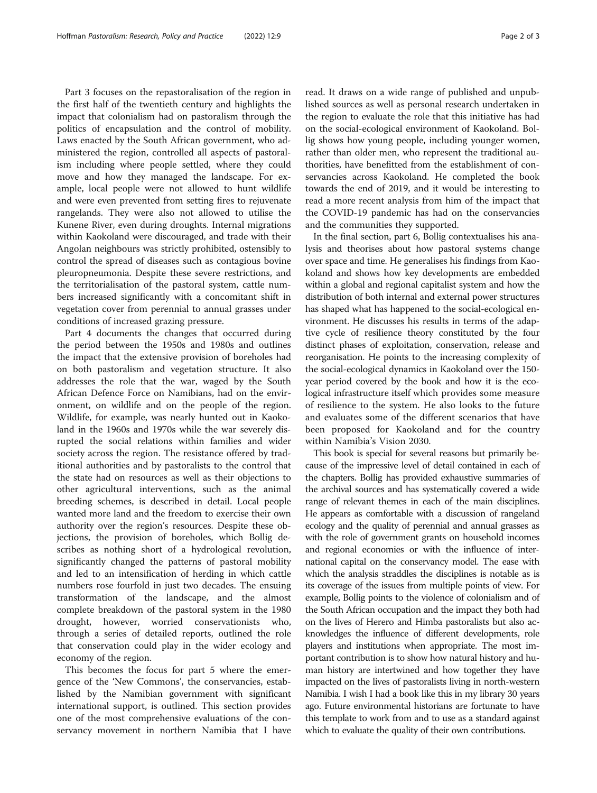Part 3 focuses on the repastoralisation of the region in the first half of the twentieth century and highlights the impact that colonialism had on pastoralism through the politics of encapsulation and the control of mobility. Laws enacted by the South African government, who administered the region, controlled all aspects of pastoralism including where people settled, where they could move and how they managed the landscape. For example, local people were not allowed to hunt wildlife and were even prevented from setting fires to rejuvenate rangelands. They were also not allowed to utilise the Kunene River, even during droughts. Internal migrations within Kaokoland were discouraged, and trade with their Angolan neighbours was strictly prohibited, ostensibly to control the spread of diseases such as contagious bovine pleuropneumonia. Despite these severe restrictions, and the territorialisation of the pastoral system, cattle numbers increased significantly with a concomitant shift in vegetation cover from perennial to annual grasses under conditions of increased grazing pressure.

Part 4 documents the changes that occurred during the period between the 1950s and 1980s and outlines the impact that the extensive provision of boreholes had on both pastoralism and vegetation structure. It also addresses the role that the war, waged by the South African Defence Force on Namibians, had on the environment, on wildlife and on the people of the region. Wildlife, for example, was nearly hunted out in Kaokoland in the 1960s and 1970s while the war severely disrupted the social relations within families and wider society across the region. The resistance offered by traditional authorities and by pastoralists to the control that the state had on resources as well as their objections to other agricultural interventions, such as the animal breeding schemes, is described in detail. Local people wanted more land and the freedom to exercise their own authority over the region's resources. Despite these objections, the provision of boreholes, which Bollig describes as nothing short of a hydrological revolution, significantly changed the patterns of pastoral mobility and led to an intensification of herding in which cattle numbers rose fourfold in just two decades. The ensuing transformation of the landscape, and the almost complete breakdown of the pastoral system in the 1980 drought, however, worried conservationists who, through a series of detailed reports, outlined the role that conservation could play in the wider ecology and economy of the region.

This becomes the focus for part 5 where the emergence of the 'New Commons', the conservancies, established by the Namibian government with significant international support, is outlined. This section provides one of the most comprehensive evaluations of the conservancy movement in northern Namibia that I have

read. It draws on a wide range of published and unpublished sources as well as personal research undertaken in the region to evaluate the role that this initiative has had on the social-ecological environment of Kaokoland. Bollig shows how young people, including younger women, rather than older men, who represent the traditional authorities, have benefitted from the establishment of conservancies across Kaokoland. He completed the book towards the end of 2019, and it would be interesting to read a more recent analysis from him of the impact that the COVID-19 pandemic has had on the conservancies and the communities they supported.

In the final section, part 6, Bollig contextualises his analysis and theorises about how pastoral systems change over space and time. He generalises his findings from Kaokoland and shows how key developments are embedded within a global and regional capitalist system and how the distribution of both internal and external power structures has shaped what has happened to the social-ecological environment. He discusses his results in terms of the adaptive cycle of resilience theory constituted by the four distinct phases of exploitation, conservation, release and reorganisation. He points to the increasing complexity of the social-ecological dynamics in Kaokoland over the 150 year period covered by the book and how it is the ecological infrastructure itself which provides some measure of resilience to the system. He also looks to the future and evaluates some of the different scenarios that have been proposed for Kaokoland and for the country within Namibia's Vision 2030.

This book is special for several reasons but primarily because of the impressive level of detail contained in each of the chapters. Bollig has provided exhaustive summaries of the archival sources and has systematically covered a wide range of relevant themes in each of the main disciplines. He appears as comfortable with a discussion of rangeland ecology and the quality of perennial and annual grasses as with the role of government grants on household incomes and regional economies or with the influence of international capital on the conservancy model. The ease with which the analysis straddles the disciplines is notable as is its coverage of the issues from multiple points of view. For example, Bollig points to the violence of colonialism and of the South African occupation and the impact they both had on the lives of Herero and Himba pastoralists but also acknowledges the influence of different developments, role players and institutions when appropriate. The most important contribution is to show how natural history and human history are intertwined and how together they have impacted on the lives of pastoralists living in north-western Namibia. I wish I had a book like this in my library 30 years ago. Future environmental historians are fortunate to have this template to work from and to use as a standard against which to evaluate the quality of their own contributions.